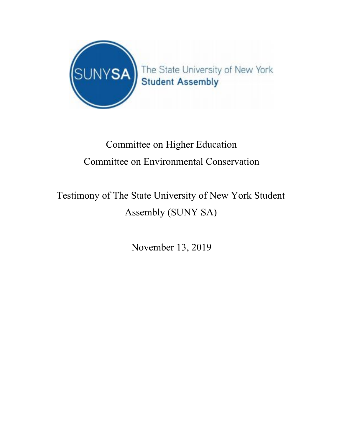

## Committee on Higher Education Committee on Environmental Conservation

## Testimony of The State University of New York Student Assembly (SUNY SA)

November 13, 2019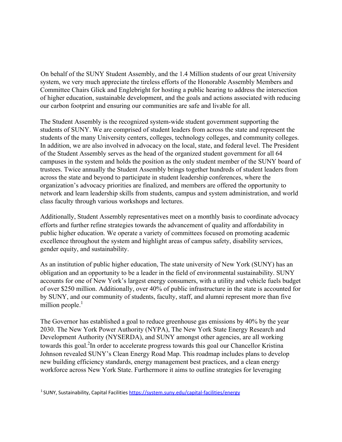On behalf of the SUNY Student Assembly, and the 1.4 Million students of our great University system, we very much appreciate the tireless efforts of the Honorable Assembly Members and Committee Chairs Glick and Englebright for hosting a public hearing to address the intersection of higher education, sustainable development, and the goals and actions associated with reducing our carbon footprint and ensuring our communities are safe and livable for all.

The Student Assembly is the recognized system-wide student government supporting the students of SUNY. We are comprised of student leaders from across the state and represent the students of the many University centers, colleges, technology colleges, and community colleges. In addition, we are also involved in advocacy on the local, state, and federal level. The President of the Student Assembly serves as the head of the organized student government for all 64 campuses in the system and holds the position as the only student member of the SUNY board of trustees. Twice annually the Student Assembly brings together hundreds of student leaders from across the state and beyond to participate in student leadership conferences, where the organization's advocacy priorities are finalized, and members are offered the opportunity to network and learn leadership skills from students, campus and system administration, and world class faculty through various workshops and lectures.

Additionally, Student Assembly representatives meet on a monthly basis to coordinate advocacy efforts and further refine strategies towards the advancement of quality and affordability in public higher education. We operate a variety of committees focused on promoting academic excellence throughout the system and highlight areas of campus safety, disability services, gender equity, and sustainability.

As an institution of public higher education, The state university of New York (SUNY) has an obligation and an opportunity to be a leader in the field of environmental sustainability. SUNY accounts for one of New York's largest energy consumers, with a utility and vehicle fuels budget of over \$250 million. Additionally, over 40% of public infrastructure in the state is accounted for by SUNY, and our community of students, faculty, staff, and alumni represent more than five million people. $<sup>1</sup>$ </sup>

The Governor has established a goal to reduce greenhouse gas emissions by 40% by the year 2030. The New York Power Authority (NYPA), The New York State Energy Research and Development Authority (NYSERDA), and SUNY amongst other agencies, are all working towards this goal.<sup>2</sup>In order to accelerate progress towards this goal our Chancellor Kristina Johnson revealed SUNY's Clean Energy Road Map. This roadmap includes plans to develop new building efficiency standards, energy management best practices, and a clean energy workforce across New York State. Furthermore it aims to outline strategies for leveraging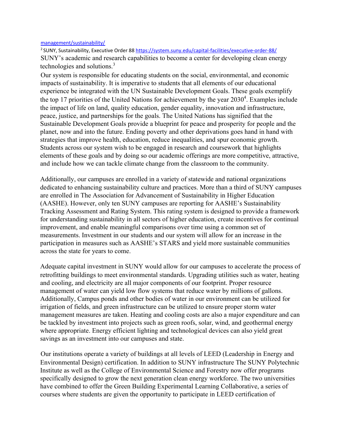## management/sustainability/

<sup>2</sup> SUNY, Sustainability, Executive Order 88 https://system.suny.edu/capital-facilities/executive-order-88/ SUNY's academic and research capabilities to become a center for developing clean energy technologies and solutions.<sup>3</sup>

Our system is responsible for educating students on the social, environmental, and economic impacts of sustainability. It is imperative to students that all elements of our educational experience be integrated with the UN Sustainable Development Goals. These goals exemplify the top 17 priorities of the United Nations for achievement by the year  $2030<sup>4</sup>$ . Examples include the impact of life on land, quality education, gender equality, innovation and infrastructure, peace, justice, and partnerships for the goals. The United Nations has signified that the Sustainable Development Goals provide a blueprint for peace and prosperity for people and the planet, now and into the future. Ending poverty and other deprivations goes hand in hand with strategies that improve health, education, reduce inequalities, and spur economic growth. Students across our system wish to be engaged in research and coursework that highlights elements of these goals and by doing so our academic offerings are more competitive, attractive, and include how we can tackle climate change from the classroom to the community.

Additionally, our campuses are enrolled in a variety of statewide and national organizations dedicated to enhancing sustainability culture and practices. More than a third of SUNY campuses are enrolled in The Association for Advancement of Sustainability in Higher Education (AASHE). However, only ten SUNY campuses are reporting for AASHE's Sustainability Tracking Assessment and Rating System. This rating system is designed to provide a framework for understanding sustainability in all sectors of higher education, create incentives for continual improvement, and enable meaningful comparisons over time using a common set of measurements. Investment in our students and our system will allow for an increase in the participation in measures such as AASHE's STARS and yield more sustainable communities across the state for years to come.

Adequate capital investment in SUNY would allow for our campuses to accelerate the process of retrofitting buildings to meet environmental standards. Upgrading utilities such as water, heating and cooling, and electricity are all major components of our footprint. Proper resource management of water can yield low flow systems that reduce water by millions of gallons. Additionally, Campus ponds and other bodies of water in our environment can be utilized for irrigation of fields, and green infrastructure can be utilized to ensure proper storm water management measures are taken. Heating and cooling costs are also a major expenditure and can be tackled by investment into projects such as green roofs, solar, wind, and geothermal energy where appropriate. Energy efficient lighting and technological devices can also yield great savings as an investment into our campuses and state.

Our institutions operate a variety of buildings at all levels of LEED (Leadership in Energy and Environmental Design) certification. In addition to SUNY infrastructure The SUNY Polytechnic Institute as well as the College of Environmental Science and Forestry now offer programs specifically designed to grow the next generation clean energy workforce. The two universities have combined to offer the Green Building Experimental Learning Collaborative, a series of courses where students are given the opportunity to participate in LEED certification of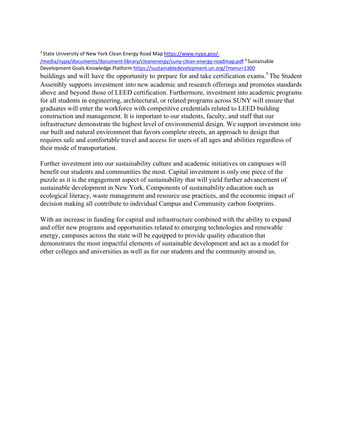## <sup>3</sup> State University of New York Clean Energy Road Map https://www.nypa.gov/-

/media/nypa/documents/document-library/cleanenergy/suny-clean-energy-roadmap.pdf<sup>4</sup>Sustainable Development Goals Knowledge Platform https://sustainabledevelopment.un.org/?menu=1300 buildings and will have the opportunity to prepare for and take certification exams.<sup>5</sup> The Student Assembly supports investment into new academic and research offerings and promotes standards above and beyond those of LEED certification. Furthermore, investment into academic programs for all students in engineering, architectural, or related programs across SUNY will ensure that graduates will enter the workforce with competitive credentials related to LEED building construction and management. It is important to our students, faculty, and staff that our infrastructure demonstrate the highest level of environmental design. We support investment into our built and natural environment that favors complete streets, an approach to design that requires safe and comfortable travel and access for users of all ages and abilities regardless of their mode of transportation.

Further investment into our sustainability culture and academic initiatives on campuses will benefit our students and communities the most. Capital investment is only one piece of the puzzle as it is the engagement aspect of sustainability that will yield further advancement of sustainable development in New York. Components of sustainability education such as ecological literacy, waste management and resource use practices, and the economic impact of decision making all contribute to individual Campus and Community carbon footprints.

With an increase in funding for capital and infrastructure combined with the ability to expand and offer new programs and opportunities related to emerging technologies and renewable energy, campuses across the state will be equipped to provide quality education that demonstrates the most impactful elements of sustainable development and act as a model for other colleges and universities as well as for our students and the community around us.